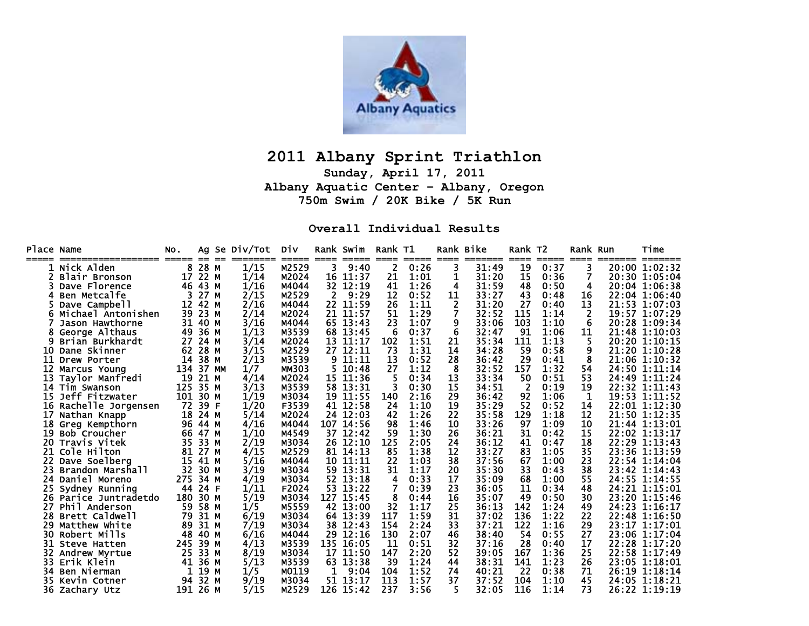

# **2011 Albany Sprint Triathlon**

**Sunday, April 17, 2011 Albany Aquatic Center – Albany, Oregon 750m Swim / 20K Bike / 5K Run** 

#### **Overall Individual Results**

| <b>Place Name</b> |                     | NO.      |      |    | Ag Se Div/Tot | Div          | ====         | Rank Swim<br>==== | Rank T1<br>==== | ===== | ====           | Rank Bike<br>====== | Rank T2<br>==== | ===== | Rank Run<br>==== |       | Time<br>======= |
|-------------------|---------------------|----------|------|----|---------------|--------------|--------------|-------------------|-----------------|-------|----------------|---------------------|-----------------|-------|------------------|-------|-----------------|
|                   | 1 Nick Alden        | 8        | 28 M |    | 1/15          | M2529        |              | 9:40              | 2               | 0:26  | 3              | 31:49               | 19              | 0:37  |                  |       | 20:00 1:02:32   |
|                   | Blair Bronson       | 17       | 22 M |    | 1/14          | M2024        | 16           | 11:37             | 21              | 1:01  | 1              | 31:20               | 15              | 0:36  |                  |       | 20:30 1:05:04   |
|                   | Dave Florence       | 46       | 43 M |    | 1/16          | M4044        |              | 32 12:19          | 41              | 1:26  | 4              | 31:59               | 48              | 0:50  | 4                |       | 20:04 1:06:38   |
|                   | Ben Metcalfe        | 3.       | 27   | M  | 2/15          | M2529        | $\mathbf{2}$ | 9:29              | 12              | 0:52  | 11             | 33:27               | 43              | 0:48  | 16               |       | 22:04 1:06:40   |
|                   | Dave Campbell       | 12       | 42 M |    | 2/16          | M4044        |              | 22 11:59          | 26              | 1:11  | $\overline{2}$ | 31:20               | 27              | 0:40  | 13               |       | 21:53 1:07:03   |
|                   | Michael Antonishen  | 39       | 23 M |    | 2/14          | M2024        | 21           | 11:57             | 51              | 1:29  | 7              | 32:52               | 115             | 1:14  | 2                |       | 19:57 1:07:29   |
|                   | Jason Hawthorne     | 31       | 40 M |    | 3/16          | M4044        |              | 65 13:43          | 23              | 1:07  | 9              | 33:06               | 103             | 1:10  | 6                |       | 20:28 1:09:34   |
|                   | George Althaus      | 49       | 36 M |    | 1/13          | M3539        | 68           | 13:45             | 6               | 0:37  | 6              | 32:47               | 91              | 1:06  | 11               |       | 21:48 1:10:03   |
|                   | Brian Burkhardt     | 27       | 24 M |    | 3/14          | M2024        | 13           | 11:17             | 102             | 1:51  | 21             | 35:34               | 111             | 1:13  | 5.               |       | 20:20 1:10:15   |
| 10                | Dane Skinner        | 62       | 28 M |    | 3/15          | M2529        |              | 27 12:11          | 73              | 1:31  | 14             | 34:28               | 59              | 0:58  | 9                |       | 21:20 1:10:28   |
| 11                | Drew Porter         | 14       | 38 M |    | 2/13          | M3539        | 9            | 11:11             | 13              | 0:52  | 28             | 36:42               | 29              | 0:41  | 8                |       | 21:06 1:10:32   |
| 12                | Marcus Young        | 134      | 37   | MМ | 1/7           | <b>MM303</b> |              | 10:48             | 27              | 1:12  | 8              | 32:52               | 157             | 1:32  | 54               |       | 24:50 1:11:14   |
| 13                | Taylor Manfredi     | 19       | 21 M |    | 4/14          | M2024        |              | 15 11:36          | 5               | 0:34  | 13             | 33:34               | 50              | 0:51  | 53               |       | 24:49 1:11:24   |
|                   | 14 Tim Swanson      | 125      | 35 M |    | 3/13          | M3539        |              | 58 13:31          |                 | 0:30  | 15             | 34:51               | 2               | 0:19  | 19               |       | 22:32 1:11:43   |
| 15                | Jeff Fitzwater      | 101      | 30 M |    | 1/19          | M3034        | 19           | 11:55             | 140             | 2:16  | 29             | 36:42               | 92              | 1:06  | 1                |       | 19:53 1:11:52   |
| 16                | Rachelle Jorgensen  | 72       | 39 F |    | 1/20          | F3539        |              | 41 12:58          | 24              | 1:10  | 19             | 35:29               | 52              | 0:52  | 14               |       | 22:01 1:12:30   |
| 17                | Nathan Knapp        | 18       | 24 M |    | 5/14          | M2024        |              | 24 12:03          | 42              | 1:26  | 22             | 35:58               | 129             | 1:18  | 12               |       | 21:50 1:12:35   |
|                   | 18 Greg Kempthorn   | 96       | 44 M |    | 4/16          | M4044        |              | 107 14:56         | 98              | 1:46  | 10             | 33:26               | 97              | 1:09  | 10               |       | 21:44 1:13:01   |
| 19                | <b>Bob Croucher</b> | 66       | 47 M |    | 1/10          | M4549        |              | 37 12:42          | 59              | 1:30  | 26             | 36:21               | 31              | 0:42  | 15               |       | 22:02 1:13:17   |
| 20.               | Travis Vitek        | 35       | 33 M |    | 2/19          | M3034        |              | 26 12:10          | 125             | 2:05  | 24             | 36:12               | 41              | 0:47  | 18               |       | 22:29 1:13:43   |
| 21                | Cole Hilton         | 81       | 27 M |    | 4/15          | M2529        |              | 81 14:13          | 85              | 1:38  | 12             | 33:27               | 83              | 1:05  | 35               |       | 23:36 1:13:59   |
| 22                | Dave Soelberg       | 15       | 41 M |    | 5/16          | M4044        | 10           | 11:11             | 22              | 1:03  | 38             | 37:56               | 67              | 1:00  | 23               |       | 22:54 1:14:04   |
| 23                | Brandon Marshall    | 32       | 30 M |    | 3/19          | M3034        |              | 59 13:31          | 31              | 1:17  | 20             | 35:30               | 33              | 0:43  | 38               |       | 23:42 1:14:43   |
| 24                | Daniel Moreno       | 275      | 34 M |    | 4/19          | M3034        |              | 52 13:18          | 4               | 0:33  | 17             | 35:09               | 68              | 1:00  | 55               |       | 24:55 1:14:55   |
| 25                | Sydney Running      | 44       | 24 F |    | 1/11          | F2024        |              | 53 13:22          |                 | 0:39  | 23             | 36:05               | 11              | 0:34  | 48               |       | 24:21 1:15:01   |
| 26                | Parice Juntradetdo  | 180      | 30 M |    | 5/19          | M3034        | 127          | 15:45             | 8               | 0:44  | 16             | 35:07               | 49              | 0:50  | 30               |       | 23:20 1:15:46   |
| 27                | Phil Anderson       | 59       | 58 M |    | 1/5           | M5559        | 42           | 13:00             | 32              | 1:17  | 25             | 36:13               | 142             | 1:24  | 49               |       | 24:23 1:16:17   |
| 28                | Brett Caldwell      | 79       | 31 M |    | 6/19          | M3034        | 64           | 13:39             | 117             | 1:59  | 31             | 37:02               | 136             | 1:22  | 22               |       | 22:48 1:16:50   |
| 29                | Matthew White       | 89       | 31 M |    | 7/19          | M3034        | 38           | 12:43             | 154             | 2:24  | 33             | 37:21               | 122             | 1:16  | 29               |       | 23:17 1:17:01   |
| 30                | Robert Mills        | 48       | 40 M |    | 6/16          | M4044        | 29           | 12:16             | 130             | 2:07  | 46             | 38:40               | 54              | 0:55  | 27               |       | 23:06 1:17:04   |
| 31                | Steve Hatten        | 245      | 39 M |    | 4/13          | M3539        | 135          | 16:05             | 11              | 0:51  | 32             | 37:16               | 28              | 0:40  | 17               |       | 22:28 1:17:20   |
| 32                | Andrew Myrtue       | 25       | 33 M |    | 8/19          | M3034        | 17           | 11:50             | 147             | 2:20  | 52             | 39:05               | 167             | 1:36  | 25               |       | 22:58 1:17:49   |
| 33                | Erik Klein          | 41       | 36 M |    | 5/13          | M3539        | 63           | 13:38             | 39              | 1:24  | 44             | 38:31               | 141             | 1:23  | 26               |       | 23:05 1:18:01   |
| 34                | Ben Nierman         |          | 19 M |    | 1/5           | M0119        | 1            | 9:04              | 104             | 1:52  | 74             | 40:21               | 22              | 0:38  | 71               | 26:19 | 1:18:14         |
| 35.               | Kevin Cotner        | 94       | 32 M |    | 9/19          | M3034        |              | 51 13:17          | 113             | 1:57  | 37             | 37:52               | 104             | 1:10  | 45               |       | 24:05 1:18:21   |
|                   | 36 Zachary Utz      | 191 26 M |      |    | 5/15          | M2529        |              | 126 15:42         | 237             | 3:56  | 5              | 32:05               | 116             | 1:14  | 73               |       | 26:22 1:19:19   |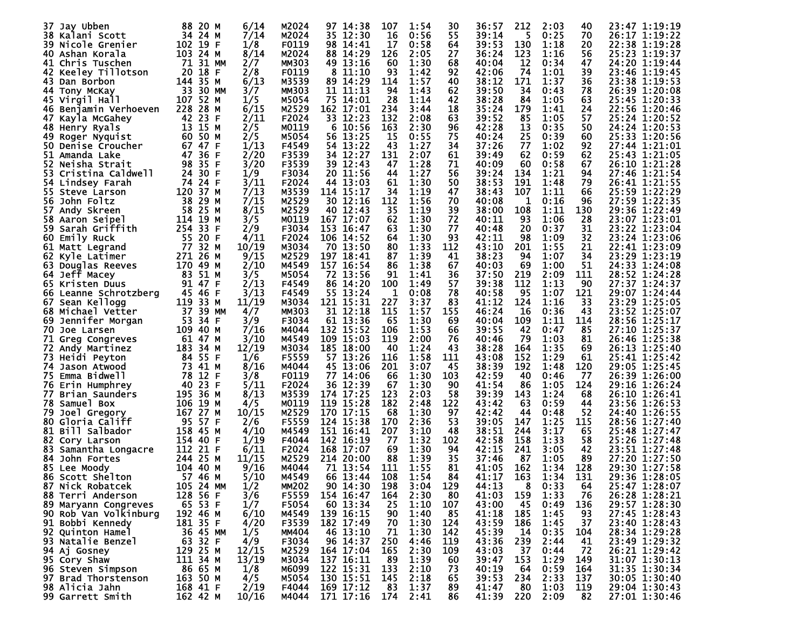| 37 Jay Ubben                      | 88<br>20 M       | 6/14  | M2024        | 97 14:38     | 107         | 1:54 | 30          | 36:57 | 212 | 2:03 | 40          | 23:47 1:19:19 |
|-----------------------------------|------------------|-------|--------------|--------------|-------------|------|-------------|-------|-----|------|-------------|---------------|
| 38 Kalani Scott                   | 34<br>24 M       | 7/14  | M2024        | 35 12:30     | 16          | 0:56 | 55          | 39:14 | 5   | 0:25 | 70          | 26:17 1:19:22 |
| <b>39 Nicole Grenier</b>          | 102 19 F         | 1/8   | F0119        | 98 14:41     | 17          | 0:58 | 64          | 39:53 | 130 | 1:18 | 20          | 22:38 1:19:28 |
| 40 Ashan Korala                   | 103.<br>24 M     | 8/14  | M2024        | 88 14:29     | 126         | 2:05 | 27          | 36:24 | 123 | 1:16 | 56          | 25:23 1:19:37 |
| 41 Chris Tuschen                  | 71 31 MM         | 2/7   | MM303        | 49 13:16     | 60          | 1:30 | 68          | 40:04 | 12  | 0:34 | 47          | 24:20 1:19:44 |
| 42 Keeley Tillotson               | 18 F<br>20       | 2/8   | F0119        | 8 11:10      | -93         | 1:42 | 92          | 42:06 | 74  | 1:01 | 39          | 23:46 1:19:45 |
| 43.<br>Dan Borbon                 | 35 M<br>144      | 6/13  | M3539        | 89 14:29     | 114         | 1:57 | 40          | 38:12 | 171 | 1:37 | 36          | 23:38 1:19:53 |
|                                   | - 33<br>30 MM    | 3/7   | <b>MM303</b> | 11 11:13     | 94          | 1:43 | 62          | 39:50 | 34  | 0:43 | 78          | 26:39 1:20:08 |
| 44 Tony McKay                     |                  |       | M5054        |              |             | 1:14 |             |       | 84  |      |             |               |
| 45 Virgil Hall                    | 107 52 M         | 1/5   |              | 75 14:01     | 28          |      | 42          | 38:28 |     | 1:05 | 63          | 25:45 1:20:33 |
| 46 Benjamin Verhoeven             | 228<br>28 M      | 6/15  | M2529        | 162 17:01    | 234         | 3:44 | 18          | 35:24 | 179 | 1:41 | 24          | 22:56 1:20:46 |
| 47 Kayla McGahey                  | 23 F<br>42       | 2/11  | F2024        | 33 12:23     | 132         | 2:08 | 63          | 39:52 | 85  | 1:05 | 57          | 25:24 1:20:52 |
| 48 Henry Ryals                    | 13<br>15 M       | 2/5   | M0119        | 6 10:56      | 163         | 2:30 | 96          | 42:28 | 13  | 0:35 | 50          | 24:24 1:20:53 |
| 49 Roger Nyguist                  | 60<br>50 M       | 2/5   | M5054        | 56 13:25     | 15          | 0:55 | 75          | 40:24 | 25  | 0:39 | 60          | 25:33 1:20:56 |
| <b>50 Denise Croucher</b>         | 67 47 F          | 1/13  | F4549        | 54 13:22     | 43          | 1:27 | 34          | 37:26 | 77  | 1:02 | 92          | 27:44 1:21:01 |
| 51<br>Amanda Lake                 | 36 F<br>47       | 2/20  | F3539        | 34 12:27     | 131         | 2:07 | 61          | 39:49 | 62  | 0:59 | 62          | 25:43 1:21:05 |
| 52.<br>Neisha Strait              | 35 F<br>98       | 3/20  | F3539        | 39 12:43     | 47          | 1:28 | 71          | 40:09 | 60  | 0:58 | 67          | 26:10 1:21:28 |
| 53.<br>Cristina Caldwell          | 30 F<br>24       | 1/9   | F3034        | 20 11:56     | 44          | 1:27 | 56          | 39:24 | 134 | 1:21 | 94          | 27:46 1:21:54 |
| 54 Lindsey Farah                  | 24 F<br>74       | 3/11  | F2024        | 44 13:03     | 61          | 1:30 | 50          | 38:53 | 191 | 1:48 | 79          | 26:41 1:21:55 |
| 55 Steve Larson                   | 120 37 M         | 7/13  | M3539        | 114 15:17    | 34          | 1:19 | 47          | 38:43 | 107 | 1:11 | 66          | 25:59 1:22:29 |
| John Foltz<br>56                  | 29 M<br>38       | 7/15  | M2529        | 30 12:16     | 112         | 1:56 | 70          | 40:08 | 1   | 0:16 | 96          | 27:59 1:22:35 |
| 57<br>Andy Skreen                 | 25 M<br>58       | 8/15  | M2529        | 40 12:43     | 35          | 1:19 | 39          | 38:00 | 108 | 1:11 | 130         | 29:36 1:22:49 |
| 58 Aaron Seipel                   | 114<br>19<br>M   | 3/5   | M0119        | 167 17:07    | 62          | 1:30 | 72          | 40:11 | 93  | 1:06 | 28          | 23:07 1:23:01 |
| Sarah Griffith<br>59.             | 254 33 F         | 2/9   | F3034        | 153 16:47    | 63          | 1:30 | 77          | 40:48 | 20  | 0:37 | 31          | 23:22 1:23:04 |
| 60<br>Emily Ruck                  | 55 20 F          | 4/11  | F2024        | 106 14:52    | 64          | 1:30 | 93          | 42:11 | 98  | 1:09 | 32          | 23:24 1:23:06 |
| 61<br>Matt Legrand                | 77<br>32 M       | 10/19 | M3034        | 70 13:50     | 80          | 1:33 | 112         | 43:10 | 201 | 1:55 | 21          | 22:41 1:23:09 |
| 62<br>Kyle Latimer                | 271 26 M         | 9/15  | M2529        | 197 18:41    | 87          | 1:39 | 41          | 38:23 | 94  | 1:07 | 34          | 23:29 1:23:19 |
| 63<br>Douglas Reeves              | 170 49 M         | 2/10  | M4549        | 157 16:54    | 86          | 1:38 | 67          | 40:03 | 69  | 1:00 | 51          | 24:33 1:24:08 |
| 64 Jeff Macey                     | 51 M<br>83       | 3/5   | M5054        | 72 13:56     | 91          | 1:41 | 36          | 37:50 | 219 | 2:09 | <u> 111</u> | 28:52 1:24:28 |
| 65 Kristen Duus                   | 47 F<br>91       | 2/13  | F4549        | 86 14:20     | 100         | 1:49 | 57          | 39:38 | 112 | 1:13 | 90          | 27:37 1:24:37 |
| 66 Leanne Schrotzberg             | 45<br>46 F       | 3/13  | F4549        | 55 13:24     | 1           | 0:08 | 78          | 40:58 | 95  | 1:07 | 121         | 29:07 1:24:44 |
| 67                                | 119<br>33 M      | 11/19 | M3034        | 121 15:31    | 227         | 3:37 | 83          | 41:12 | 124 | 1:16 | 33          | 23:29 1:25:05 |
| Sean Kellogg<br>68 Michael Vetter | 37<br>39 MM      |       | <b>MM303</b> | 31 12:18     | 115         | 1:57 | 155         | 46:24 | 16  | 0:36 | 43          | 23:52 1:25:07 |
|                                   | 53<br>34 F       | 4/7   | F3034        |              | 65          | 1:30 |             |       |     |      |             |               |
| 69<br>Jennifer Morgan             |                  | 3/9   |              | 61 13:36     |             |      | 69          | 40:04 | 109 | 1:11 | 114         | 28:56 1:25:17 |
| 70<br>Joe Larsen                  | 109 40 M         | 7/16  | M4044        | 132 15:52    | 106         | 1:53 | 66          | 39:55 | 42  | 0:47 | 85          | 27:10 1:25:37 |
| 71<br>Greg Congreves              | 61 47 M          | 3/10  | M4549        | 109 15:03    | 119         | 2:00 | 76          | 40:46 | 79  | 1:03 | 81          | 26:46 1:25:38 |
| 72 Andy Martinez                  | 183 34 M         | 12/19 | M3034        | 185 18:00    | 40          | 1:24 | 43          | 38:28 | 164 | 1:35 | 69          | 26:13 1:25:40 |
| 73.<br>Heidi Peyton               | 84 55 F          | 1/6   | F5559        | 57 13:26     | 116         | 1:58 | <u> 111</u> | 43:08 | 152 | 1:29 | 61          | 25:41 1:25:42 |
| 74<br>Jason Atwood                | 73<br>41 M       | 8/16  | M4044        | 45 13:06     | 201         | 3:07 | 45          | 38:39 | 192 | 1:48 | 120         | 29:05 1:25:45 |
| Emma Bidwell<br>75.               | 12 F<br>78       | 3/8   | F0119        | 77 14:06     | 66          | 1:30 | 103         | 42:59 | 40  | 0:46 | 77          | 26:39 1:26:00 |
| 76.<br>Erin Humphrey              | 23 F<br>40       | 5/11  | F2024        | 36 12:39     | 67          | 1:30 | 90          | 41:54 | 86  | 1:05 | 124         | 29:16 1:26:24 |
| 77<br>Brian Saunders              | 195 36 M         | 8/13  | M3539        | 174 17:25    | 123         | 2:03 | 58          | 39:39 | 143 | 1:24 | 68          | 26:10 1:26:41 |
| 78 Samuel Box                     | 106<br>19<br>M   | 4/5   | M0119        | 119 15:28    | 182         | 2:48 | 122         | 43:42 | 63  | 0:59 | 44          | 23:56 1:26:53 |
| 79<br>Joel Gregory                | 27 M<br>167      | 10/15 | M2529        | 170<br>17:15 | 68          | 1:30 | 97          | 42:42 | 44  | 0:48 | 52          | 24:40 1:26:55 |
| Gloria Califf<br>80.              | 95 57 F          | 2/6   | F5559        | 124 15:38    | 170         | 2:36 | 53          | 39:05 | 147 | 1:25 | 115         | 28:56 1:27:40 |
| 81 Bill Salbador                  | 158 45 M         | 4/10  | M4549        | 151 16:41    | 207         | 3:10 | 48          | 38:51 | 244 | 3:17 | 65          | 25:48 1:27:47 |
| 82.<br>Cory Larson                | 154<br>-40<br>-F | 1/19  | F4044        | 142 16:19    | 77          | 1:32 | 102         | 42:58 | 158 | 1:33 | 58          | 25:26 1:27:48 |
| 83<br>Samantha Longacre           | 112<br>21 F      | 6/11  | F2024        | 168<br>17:07 | 69          | 1:30 | 94          | 42:15 | 241 | 3:05 | 42          | 23:51 1:27:48 |
| 84<br>John Fortes                 | 25 M<br>244      | 11/15 | M2529        | 214 20:00    | 88          | 1:39 | 35          | 37:46 | 87  | 1:05 | 89          | 27:20 1:27:50 |
| 85 Lee Moody                      | 104 40 M         | 9/16  | M4044        | 71 13:54     | <u> 111</u> | 1:55 | 81          | 41:05 | 162 | 1:34 | 128         | 29:30 1:27:58 |
| 86 Scott Shelton                  | 57 46 M          | 5/10  | M4549        | 66 13:44     | 108         | 1:54 | 84          | 41:17 | 163 | 1:34 | 131         | 29:36 1:28:05 |
| 87 Nick Robatcek                  | 105 24 MM        | 1/2   | <b>MM202</b> | 90 14:30     | 198         | 3:04 | 129         | 44:13 | 8   | 0:33 | 64          | 25:47 1:28:07 |
| 88 Terri Anderson                 | 128<br>56 F      | 3/6   | F5559        | 154 16:47    | 164         | 2:30 | 80          | 41:03 | 159 | 1:33 | 76          | 26:28 1:28:21 |
| 89 Maryann Congreves              | 65 53 F          | 1/7   | F5054        | 60 13:34     | 25          | 1:10 | 107         | 43:00 | 45  | 0:49 | 136         | 29:57 1:28:30 |
| 90 Rob Van Volkinburg             | 192 46 M         | 6/10  | M4549        | 139 16:15    | 90          | 1:40 | 85          | 41:18 | 185 | 1:45 | 93          | 27:45 1:28:43 |
| 91 Bobbi Kennedy                  | 181 35 F         | 4/20  | F3539        | 182 17:49    | 70          | 1:30 | 124         | 43:59 | 186 | 1:45 | 37          | 23:40 1:28:43 |
| 92 Quinton Hamel                  | 36 45 MM         | 1/5   | <b>MM404</b> | 46 13:10     | 71          | 1:30 | 142         | 45:39 | 14  | 0:35 | 104         | 28:34 1:29:28 |
| 93 Natalie Benzel                 | 63<br>32 F       | 4/9   | F3034        | 96 14:37     | 250         | 4:46 | 119         | 43:36 | 239 | 2:44 | 41          | 23:49 1:29:32 |
|                                   | 129 25 M         | 12/15 | M2529        |              | 165         | 2:30 | 109         | 43:03 | 37  | 0:44 | 72          |               |
| 94 Aj Gosney                      |                  |       |              | 164 17:04    |             |      |             |       | 153 |      |             | 26:21 1:29:42 |
| 95 Cory Shaw                      | 111 34 M         | 13/19 | M3034        | 137 16:11    | 89          | 1:39 | 60          | 39:47 |     | 1:29 | 149         | 31:07 1:30:13 |
| 96 Steven Simpson                 | 86 65 M          | 1/8   | M6099        | 122 15:31    | 133         | 2:10 | 73          | 40:19 | 64  | 0:59 | 164         | 31:35 1:30:34 |
| 97 Brad Thorstenson               | 163 50 M         | 4/5   | M5054        | 130 15:51    | 145         | 2:18 | 65          | 39:53 | 234 | 2:33 | 137         | 30:05 1:30:40 |
| 98 Alicia Jahn                    | 168 41 F         | 2/19  | F4044        | 169 17:12    | 83          | 1:37 | 89          | 41:47 | 80  | 1:03 | 119         | 29:04 1:30:43 |
| 99 Garrett Smith                  | 162 42 M         | 10/16 | M4044        | 171 17:16    | 174         | 2:41 | 86          | 41:39 | 220 | 2:09 | 82          | 27:01 1:30:46 |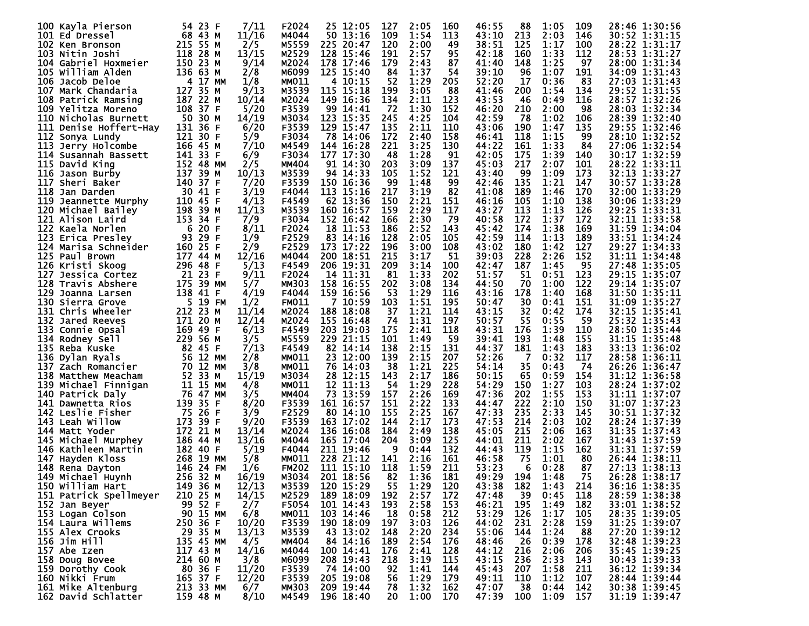| 100 Kayla Pierson       | 54 23 F<br>7/11                | F2024        | 25 12:05     | 127 | 2:05<br>160 | 46:55        | 88         | 1:05 | 109 | 28:46 1:30:56 |
|-------------------------|--------------------------------|--------------|--------------|-----|-------------|--------------|------------|------|-----|---------------|
| 101 Ed Dressel          | 68 43 M<br>11/16               | M4044        | 50 13:16     | 109 | 1:54<br>113 | 43:10        | 213        | 2:03 | 146 | 30:52 1:31:15 |
| 102 Ken Bronson         | 215 55 M<br>2/5                | M5559        | 225<br>20:47 | 120 | 2:00        | 49<br>38:51  | 125        | 1:17 | 100 | 28:22 1:31:17 |
|                         |                                |              |              |     |             |              |            |      |     |               |
| 103 Nitin Joshi         | 118 28 M<br>13/15              | M2529        | 128 15:46    | 191 | 2:57        | 95<br>42:18  | 160        | 1:33 | 112 | 28:53 1:31:27 |
| 104 Gabriel Hoxmeier    | 150 23 M<br>9/14               | M2024        | 178 17:46    | 179 | 2:43        | 87<br>41:40  | 148        | 1:25 | 97  | 28:00 1:31:34 |
| 105 William Alden       | 2/8<br>136 63 M                | M6099        | 125 15:40    | 84  | 1:37        | 54<br>39:10  | 96         | 1:07 | 191 | 34:09 1:31:43 |
| 106 Jacob Deloe         | 17 MM<br>1/8<br>4              | <b>MM011</b> | 4 10:15      | 52  | 1:29<br>205 | 52:20        | 17         | 0:36 | 83  | 27:03 1:31:43 |
| 107 Mark Chandaria      | 127 35 M<br>9/13               | M3539        | 115 15:18    | 199 | 3:05        | -88<br>41:46 | 200        | 1:54 | 134 | 29:52 1:31:55 |
| 108 Patrick Ramsing     | 187 22 M<br>10/14              | M2024        | 149 16:36    | 134 | 2:11<br>123 | 43:53        | 46         | 0:49 | 116 | 28:57 1:32:26 |
|                         |                                |              |              |     | 1:30        |              |            |      |     |               |
| 109 Yelitza Moreno      | 108 37 F<br>5/20               | F3539        | 99 14:41     | -72 | 152         | 46:20        | 210        | 2:00 | 98  | 28:03 1:32:34 |
| 110 Nicholas Burnett    | - 50<br>30 M<br>14/19          | M3034        | 123 15:35    | 245 | 4:25<br>104 | 42:59        | 78         | 1:02 | 106 | 28:39 1:32:40 |
| 111 Denise Hoffert-Hay  | 131<br>6/20<br>36 F            | F3539        | 129 15:47    | 135 | 2:11<br>110 | 43:06        | 190        | 1:47 | 135 | 29:55 1:32:46 |
| 112 Sonya Lundy         | 121 30 F<br>5/9                | F3034        | 78 14:06     | 172 | 2:40<br>158 | 46:41        | 118        | 1:15 | 99  | 28:10 1:32:52 |
| 113 Jerry Holcombe      | 7/10<br>166 45 M               | M4549        | 144 16:28    | 221 | 3:25<br>130 | 44:22        | 161        | 1:33 | 84  | 27:06 1:32:54 |
| 114 Susannah Bassett    | 141 33 F<br>6/9                | F3034        | 177 17:30    | 48  | 1:28        | 91<br>42:05  | 175        | 1:39 | 140 | 30:17 1:32:59 |
| 115 David King          | 152 48 MM<br>2/5               | <b>MM404</b> | 91 14:30     | 203 | 3:09<br>137 | 45:03        | 217        | 2:07 | 101 | 28:22 1:33:11 |
|                         | 137                            |              | 94 14:33     | 105 | 1:52        | 43:40        | 99         | 1:09 | 173 |               |
| 116 Jason Burby         | 39 M<br>10/13                  | M3539        |              |     | 121         |              |            |      |     | 32:13 1:33:27 |
| 117 Sheri Baker         | 140 37 F<br>7/20               | F3539        | 150 16:36    | 99  | 1:48        | 99<br>42:46  | 135        | 1:21 | 147 | 30:57 1:33:28 |
| 118<br>Jan Darden       | 30 41 F<br>3/19                | F4044        | 113 15:16    | 217 | 3:19        | 82<br>41:08  | 189        | 1:46 | 170 | 32:00 1:33:29 |
| 119<br>Jeannette Murphy | 110 45 F<br>4/13               | F4549        | 62 13:36     | 150 | 2:21<br>151 | 46:16        | 105        | 1:10 | 138 | 30:06 1:33:29 |
| 120 Michael Bailey      | 198 39 M<br>11/13              | M3539        | 160 16:57    | 159 | 2:29<br>117 | 43:27        | 113        | 1:13 | 126 | 29:25 1:33:31 |
| 121 Alison Laird        | 153 34<br>7/9<br>F             | F3034        | 152<br>16:42 | 166 | 2:30        | 79<br>40:58  | 172        | 1:37 | 172 | 32:11 1:33:58 |
| 122 Kaela Norlen        | 20 F<br>8/11<br>6              | F2024        | 11:53<br>18  | 186 | 2:52<br>143 | 45:42        | 174        | 1:38 | 169 | 31:59 1:34:04 |
|                         | 93                             | F2529        |              |     |             | 42:59        | 114        | 1:13 |     |               |
| 123 Erica Presley       | 29 F<br>1/9                    |              | 83 14:16     | 128 | 2:05<br>105 |              |            |      | 189 | 33:51 1:34:24 |
| 124 Marisa Schneider    | 160 25 F<br>2/9                | F2529        | 173 17:22    | 196 | 3:00<br>108 | 43:02        | 180        | 1:42 | 127 | 29:27 1:34:33 |
| 125 Paul Brown          | 177 44 M<br>12/16              | M4044        | 200 18:51    | 215 | 3:17        | 39:03<br>51  | 228        | 2:26 | 152 | 31:11 1:34:48 |
| 126 Kristi Skoog        | 296 48 F<br>5/13               | F4549        | 206 19:31    | 209 | 3:14<br>100 | 42:47        | 187        | 1:45 | 95  | 27:48 1:35:05 |
| 127 Jessica Cortez      | 21 23 F<br>9/11                | F2024        | 14 11:31     | -81 | 202<br>1:33 | 51:57        | 51         | 0:51 | 123 | 29:15 1:35:07 |
| 128 Travis Abshere      | 175 39 MM<br>5/7               | <b>MM303</b> | 158 16:55    | 202 | 3:08<br>134 | 44:50        | 70         | 1:00 | 122 | 29:14 1:35:07 |
| 129 Joanna Larsen       | 138 41 F<br>4/19               | F4044        | 159 16:56    | 53  | 1:29<br>116 | 43:16        | 178        | 1:40 | 168 | 31:50 1:35:11 |
|                         | 5.                             |              |              |     | 1:51        | 50:47        |            |      |     | 31:09 1:35:27 |
| 130 Sierra Grove        | 19 FM<br>1/2                   | <b>FM011</b> | 7 10:59      | 103 | 195         |              | 30         | 0:41 | 151 |               |
| 131 Chris Wheeler       | 212 23 M<br>11/14              | M2024        | 188 18:08    | 37  | 1:21<br>114 | 43:15        | 32         | 0:42 | 174 | 32:15 1:35:41 |
| 132 Jared Reeves        | 171 20 M<br>12/14              | M2024        | 155 16:48    | 74  | 1:31<br>197 | 50:57        | 55         | 0:55 | 59  | 25:32 1:35:43 |
| 133 Connie Opsal        | 169<br>6/13<br>49 F            | F4549        | 203 19:03    | 175 | 2:41<br>118 | 43:31        | 176        | 1:39 | 110 | 28:50 1:35:44 |
| 134<br>Rodney Sell      | 229 56 M<br>3/5                | M5559        | 229 21:15    | 101 | 1:49        | 59<br>39:41  | 193        | 1:48 | 155 | 31:15 1:35:48 |
| 135 Reba Kuske          | 82 45 F<br>7/13                | F4549        | 82 14:14     | 138 | 2:15<br>131 | 44:37        | 181        | 1:43 | 183 | 33:13 1:36:02 |
| 136 Dylan Ryals         | 12 MM<br>2/8<br>56             | <b>MM011</b> | 23 12:00     | 139 | 2:15<br>207 | 52:26        |            | 0:32 | 117 | 28:58 1:36:11 |
| 137 Zach Romancier      | 70 12 MM                       | <b>MM011</b> | 76 14:03     | 38  | 1:21<br>225 | 54:14        | 35         | 0:43 | -74 | 26:26 1:36:47 |
|                         | 3/8                            |              |              |     |             |              |            |      |     |               |
| 138 Matthew Meacham     | 52 33 M<br>15/19               | M3034        | 28 12:15     | 143 | 2:17<br>186 | 50:15        | 65         | 0:59 | 154 | 31:12 1:36:58 |
| 139 Michael Finnigan    | 11 15 MM<br>4/8                | <b>MM011</b> | 12 11:13     | 54  | 1:29<br>228 | 54:29        | 150        | 1:27 | 103 | 28:24 1:37:02 |
| 140 Patrick Daly        | 76 47 MM<br>3/5                | <b>MM404</b> | 73 13:59     | 157 | 2:26<br>169 | 47:36        | 202        | 1:55 | 153 | 31:11 1:37:07 |
| 141 Dawnetta Rios       | 139 35<br>8/20<br>-F           | F3539        | 161 16:57    | 151 | 2:22<br>133 | 44:47        | 222        | 2:10 | 150 | 31:07 1:37:23 |
| 142 Leslie Fisher       | - 75<br>26 F<br>3/9            | F2529        | 80 14:10     | 155 | 2:25<br>167 | 47:33        | 235        | 2:33 | 145 | 30:51 1:37:32 |
| 143 Leah Willow         | 173<br>39 F<br>9/20            | F3539        | 163 17:02    | 144 | 2:17<br>173 | 47:53        | 214        | 2:03 | 102 | 28:24 1:37:39 |
| 144 Matt Yoder          | 172<br>21 M<br>13/14           | M2024        | 136 16:08    | 184 | 2:49<br>138 | 45:05        | 215        | 2:06 | 163 | 31:35 1:37:43 |
|                         |                                | M4044        |              |     |             |              |            |      |     |               |
| 145 Michael Murphey     | 186 44 M<br>13/16              |              | 165 17:04    | 204 | 3:09<br>125 | 44:01        | <u>211</u> | 2:02 | 167 | 31:43 1:37:59 |
| 146 Kathleen Martin     | 182 40 F<br>5/19               | F4044        | 211<br>19:46 | 9   | 132<br>0:44 | 44:43        | 119        | 1:15 | 162 | 31:31 1:37:59 |
| 147 Hayden Kloss        | 268<br>19 MM<br>5/8            | MM011        | 228 21:12    | 141 | 2:16<br>161 | 46:58        | 75         | 1:01 | 80  | 26:44 1:38:11 |
| 148 Rena Dayton         | -24<br>1/6<br>146<br><b>FM</b> | <b>FM202</b> | 111 15:10    | 118 | 1:59<br>211 | 53:23        | 6          | 0:28 | 87  | 27:13 1:38:13 |
| 149 Michael Huynh       | 256 32 M<br>16/19              | M3034        | 201 18:56    | 82  | 1:36<br>181 | 49:29        | 194        | 1:48 | 75  | 26:28 1:38:17 |
| 150 William Hart        | 12/13<br>149 36 M              | M3539        | 120 15:29    | 55  | 1:29<br>120 | 43:38        | 182        | 1:43 | 214 | 36:16 1:38:35 |
| 151 Patrick Spellmeyer  | 210 25 M<br>14/15              | M2529        | 189 18:09    | 192 | 2:57<br>172 | 47:48        | 39         | 0:45 | 118 | 28:59 1:38:38 |
|                         | 99 52 F                        |              | 101 14:43    |     |             |              |            |      |     |               |
| 152 Jan Beyer           | 2/7                            | F5054        |              | 193 | 2:58<br>153 | 46:21        | 195        | 1:49 | 182 | 33:01 1:38:52 |
| 153 Logan Colson        | 90 15 MM<br>6/8                | <b>MM011</b> | 103 14:46    | 18  | 0:58<br>212 | 53:29        | 126        | 1:17 | 105 | 28:35 1:39:05 |
| 154 Laura Willems       | 250 36 F<br>10/20              | F3539        | 190 18:09    | 197 | 3:03<br>126 | 44:02        | 231        | 2:28 | 159 | 31:25 1:39:07 |
| 155 Alex Crooks         | 29 35 M<br>13/13               | M3539        | 43 13:02     | 148 | 2:20<br>234 | 55:06        | 144        | 1:24 | 88  | 27:20 1:39:12 |
| 156 Jim Hill            | 135 45 MM<br>4/5               | <b>MM404</b> | 84 14:16     | 189 | 2:54<br>176 | 48:46        | 26         | 0:39 | 178 | 32:48 1:39:23 |
| 157 Abe Izen            | 117 43 M<br>14/16              | M4044        | 100 14:41    | 176 | 2:41<br>128 | 44:12        | 216        | 2:06 | 206 | 35:45 1:39:25 |
| 158 Doug Bovee          | 214 60 M<br>3/8                | M6099        | 208 19:43    | 218 | 3:19<br>115 | 43:15        | 236        | 2:33 | 143 | 30:43 1:39:33 |
|                         | 11/20                          |              |              |     | 144         |              |            |      | 211 | 36:12 1:39:34 |
| 159 Dorothy Cook        | 80 36 F                        | F3539        | 74 14:00     | 92  | 1:41        | 45:43        | 207        | 1:58 |     |               |
| 160 Nikki Frum          | 165 37 F<br>12/20              | F3539        | 205 19:08    | 56  | 1:29<br>179 | 49:11        | 110        | 1:12 | 107 | 28:44 1:39:44 |
| 161 Mike Altenburg      | 213 33 MM<br>6/7               | <b>MM303</b> | 209 19:44    | 78  | 1:32<br>162 | 47:07        | 38         | 0:44 | 142 | 30:38 1:39:45 |
| 162 David Schlatter     | 159 48 M<br>8/10               | M4549        | 196 18:40    | 20  | 1:00<br>170 | 47:39        | 100        | 1:09 | 157 | 31:19 1:39:47 |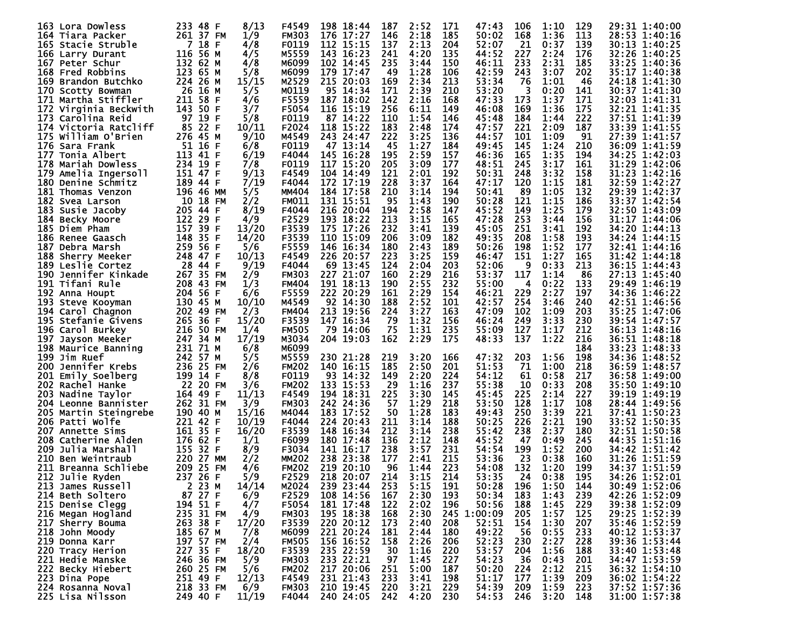| 163 Lora Dowless          | 8/13<br>233 48 F         | F4549        | 198 18:44     | 187 | 2:52 | 171<br>47:43 | 106 | 1:10 | 129 | 29:31 1:40:00 |
|---------------------------|--------------------------|--------------|---------------|-----|------|--------------|-----|------|-----|---------------|
| 164 Tiara Packer          | 261 37 FM<br>1/9         | <b>FM303</b> | 176 17:27     | 146 | 2:18 | 185<br>50:02 | 168 | 1:36 | 113 | 28:53 1:40:16 |
| 165 Stacie Struble        | 18 F<br>7<br>4/8         | <b>F0119</b> | 112 15:15     | 137 | 2:13 | 204<br>52:07 | 21  | 0:37 | 139 | 30:13 1:40:25 |
| 166 Larry Durant          | 116 56 M<br>4/5          | M5559        | 143 16:23     | 241 | 4:20 | 135<br>44:52 | 227 | 2:24 | 176 | 32:26 1:40:25 |
| 167 Peter Schur           | 132 62 M<br>4/8          | м6099        | 102 14:45     | 235 | 3:44 | 150<br>46:11 | 233 | 2:31 | 185 | 33:25 1:40:36 |
| 168 Fred Robbins          | 123<br>65 M<br>5/8       | M6099        | 179 17:47     | -49 | 1:28 | 106<br>42:59 | 243 | 3:07 | 202 | 35:17 1:40:38 |
| 169 Brandon Butchko       | 15/15<br>224 26 M        | M2529        | 215 20:03     | 169 | 2:34 | 213<br>53:34 | 76  | 1:01 | 46  | 24:18 1:41:30 |
| 170 Scotty Bowman         | - 26<br>16 M<br>5/5      | M0119        | 95 14:34      | 171 | 2:39 | 53:20<br>210 |     | 0:20 | 141 | 30:37 1:41:30 |
|                           | 211 58 F                 | F5559        | 187 18:02     | 142 | 2:16 | 168<br>47:33 | 173 | 1:37 | 171 | 32:03 1:41:31 |
| 171 Martha Stiffler       | 4/6                      | F5054        |               |     |      |              | 169 | 1:36 |     | 32:21 1:41:35 |
| 172 Virginia Beckwith     | 143<br>50 F<br>3/7       |              | 116 15:19     | 256 | 6:11 | 149<br>46:08 |     |      | 175 |               |
| 173 Carolina Reid         | 97.<br>19 F<br>5/8       | F0119        | 87 14:22      | 110 | 1:54 | 146<br>45:48 | 184 | 1:44 | 222 | 37:51 1:41:39 |
| 174 Victoria Ratcliff     | 85 22 F<br>10/11         | F2024        | 118 15:22     | 183 | 2:48 | 174<br>47:57 | 221 | 2:09 | 187 | 33:39 1:41:55 |
| 175 William O'Brien       | 276 45 M<br>9/10         | M4549        | 243 24:47     | 222 | 3:25 | 136<br>44:57 | 101 | 1:09 | 91  | 27:39 1:41:57 |
| 176 Sara Frank            | 51 16 F<br>6/8           | <b>F0119</b> | 47 13:14      | 45  | 1:27 | 184<br>49:45 | 145 | 1:24 | 210 | 36:09 1:41:59 |
| 177 Tonia Albert          | 113 41 F<br>6/19         | F4044        | 145 16:28     | 195 | 2:59 | 157<br>46:36 | 165 | 1:35 | 194 | 34:25 1:42:03 |
| 178 Mariah Dowless        | 234 19 F<br>7/8          | <b>F0119</b> | 117 15:20     | 205 | 3:09 | 177<br>48:51 | 245 | 3:17 | 161 | 31:29 1:42:06 |
| 179<br>Amelia Ingersoll   | 151 47 F<br>9/13         | F4549        | 104 14:49     | 121 | 2:01 | 192<br>50:31 | 248 | 3:32 | 158 | 31:23 1:42:16 |
| 180 Denine Schmitz        | 189 44 F<br>7/19         | F4044        | 172 17:19     | 228 | 3:37 | 164<br>47:17 | 120 | 1:15 | 181 | 32:59 1:42:27 |
| 181 Thomas Venzon         | 196 46 MM<br>5/5         | MM404        | 184 17:58     | 210 | 3:14 | 194<br>50:41 | 89  | 1:05 | 132 | 29:39 1:42:37 |
| 182 Svea Larson           | 10 18 FM<br>2/2          | <b>FM011</b> | 131 15:51     | -95 | 1:43 | 190<br>50:28 | 121 | 1:15 | 186 | 33:37 1:42:54 |
| 183 Susie Jacoby          | 8/19<br>205 44 F         | F4044        | 216 20:04     | 194 | 2:58 | 147<br>45:52 | 149 | 1:25 | 179 | 32:50 1:43:09 |
| 184 Becky Moore           | 122<br>29 F<br>4/9       | F2529        | 193.<br>18:22 | 213 | 3:15 | 165<br>47:28 | 253 | 3:44 | 156 | 31:17 1:44:06 |
| 185 Diem Pham             | 157<br>39 F<br>13/20     | F3539        | 175<br>17:26  | 232 | 3:41 | 139<br>45:05 | 251 | 3:41 | 192 | 34:20 1:44:13 |
| 186 Renee Gaasch          | 148<br>35 F<br>14/20     | F3539        | 110 15:09     | 206 | 3:09 | 182<br>49:35 | 208 | 1:58 | 193 | 34:24 1:44:15 |
| 187<br>Debra Marsh        | 259.<br>56 F<br>5/6      | F5559        | 146 16:34     | 180 | 2:43 | 189<br>50:26 | 198 | 1:52 | 177 | 32:41 1:44:16 |
| 188 Sherry Meeker         | 248 47 F<br>10/13        | F4549        | 226 20:57     | 223 | 3:25 | 159<br>46:47 | 151 | 1:27 | 165 | 31:42 1:44:18 |
|                           |                          |              |               |     |      |              |     |      |     |               |
| 189 Leslie Cortez         | -28<br>44 F<br>9/19      | F4044        | 69 13:45      | 124 | 2:04 | 203<br>52:06 | 9   | 0:33 | 213 | 36:15 1:44:43 |
| 190 Jennifer Kinkade      | 267 35 FM<br>2/9         | <b>FM303</b> | 227 21:07     | 160 | 2:29 | 53:37<br>216 | 117 | 1:14 | 86  | 27:13 1:45:40 |
| 191 Tifani Rule           | 208 43 FM<br>1/3         | <b>FM404</b> | 191 18:13     | 190 | 2:55 | 232<br>55:00 | 4   | 0:22 | 133 | 29:49 1:46:19 |
| 192 Anna Houpt            | 204 56 F<br>6/6          | F5559        | 222 20:29     | 161 | 2:29 | 154<br>46:21 | 229 | 2:27 | 197 | 34:36 1:46:22 |
| 193 Steve Kooyman         | 10/10<br>130 45 M        | M4549        | 92 14:30      | 188 | 2:52 | 101<br>42:57 | 254 | 3:46 | 240 | 42:51 1:46:56 |
| 194 Carol Chagnon         | 2/3<br>202 49 FM         | <b>FM404</b> | 213 19:56     | 224 | 3:27 | 163<br>47:09 | 102 | 1:09 | 203 | 35:25 1:47:06 |
| 195 Stefanie Givens       | 36 F<br>15/20<br>265.    | F3539        | 147 16:34     | 79  | 1:32 | 156<br>46:24 | 249 | 3:33 | 230 | 39:54 1:47:57 |
| 196 Carol Burkey          | 216<br>50 FM<br>1/4      | <b>FM505</b> | 79 14:06      | 75  | 1:31 | 235<br>55:09 | 127 | 1:17 | 212 | 36:13 1:48:16 |
| 197.<br>Jayson Meeker     | 247 34 M<br>17/19        | M3034        | 204 19:03     | 162 | 2:29 | 175<br>48:33 | 137 | 1:22 | 216 | 36:51 1:48:18 |
| 198 Maurice Banning       | 231 71 M<br>6/8          | м6099        |               |     |      |              |     |      | 184 | 33:23 1:48:33 |
| 199 Jim Ruef              | 57 M<br>5/5<br>242.      | M5559        | 230 21:28     | 219 | 3:20 | 47:32<br>166 | 203 | 1:56 | 198 | 34:36 1:48:52 |
| Jennifer Krebs<br>200 -   | 236<br>25 FM<br>2/6      | <b>FM202</b> | 140 16:15     | 185 | 2:50 | 201<br>51:53 | 71  | 1:00 | 218 | 36:59 1:48:57 |
| Emily Soelberg<br>201     | 8/8<br>199.<br>14 F      | <b>F0119</b> | 93 14:32      | 149 | 2:20 | 224<br>54:12 | 61  | 0:58 | 217 | 36:58 1:49:00 |
| Rachel Hanke<br>202.      | 22 20 FM<br>3/6          | <b>FM202</b> | 133 15:53     | 29  | 1:16 | 237<br>55:38 | 10  | 0:33 | 208 | 35:50 1:49:10 |
| 203 Nadine Taylor         | 164<br>49 F<br>11/13     | F4549        | 194 18:31     | 225 | 3:30 | 145<br>45:45 | 225 | 2:14 | 227 | 39:19 1:49:19 |
| 204 Leonne Bannister      | 3/9<br>262 31 FM         | <b>FM303</b> | 242 24:36     | 57  | 1:29 | 218<br>53:50 | 128 | 1:17 | 108 | 28:44 1:49:56 |
| 205.<br>Martin Steingrebe | 15/16<br>190 40 M        | M4044        | 183.<br>17:52 | 50  | 1:28 | 183<br>49:43 | 250 | 3:39 | 221 | 37:41 1:50:23 |
| <b>206 Patti Wolfe</b>    | 221 42 F<br>10/19        | F4044        | 224 20:43     | 211 | 3:14 | 188<br>50:25 | 226 | 2:21 | 190 | 33:52 1:50:35 |
| 207 Annette Sims          | 161 35 F                 | F3539        | 148<br>16:34  | 212 | 3:14 | 238<br>55:42 | 238 | 2:37 | 180 | 32:51 1:50:58 |
|                           | 16/20                    |              | 180 17:48     |     |      |              |     |      |     | 44:35 1:51:16 |
| 208 Catherine Alden       | 176<br>62 F<br>1/1       | F6099        |               | 136 | 2:12 | 148<br>45:52 | 47  | 0:49 | 245 |               |
| Julia Marshall<br>209     | 32 F<br>8/9<br>155.      | F3034        | 141 16:17     | 238 | 3:57 | 231<br>54:54 | 199 | 1:52 | 200 | 34:42 1:51:42 |
| 210<br>Ben Weintraub      | 220 27<br>2/2<br>MМ      | <b>MM202</b> | 238.<br>23:38 | 177 | 2:41 | 215<br>53:36 | 23  | 0:38 | 160 | 31:26 1:51:59 |
| 211 Breanna Schliebe      | -25<br>4/6<br>209.<br>FM | <b>FM202</b> | 219<br>20:10  | 96  | 1:44 | 223<br>54:08 | 132 | 1:20 | 199 | 34:37 1:51:59 |
| 212 Julie Ryden           | 237 26 F<br>5/9          | F2529        | 218<br>20:07  | 214 | 3:15 | 214<br>53:35 | 24  | 0:38 | 195 | 34:26 1:52:01 |
| 213 James Russell         | 14/14<br>2 23 M          | M2024        | 239 23:44     | 253 | 5:15 | 191<br>50:28 | 196 | 1:50 | 144 | 30:49 1:52:06 |
| 214 Beth Soltero          | 87 27 F<br>6/9           | F2529        | 108 14:56     | 167 | 2:30 | 193<br>50:34 | 183 | 1:43 | 239 | 42:26 1:52:09 |
| 215 Denise Clegg          | 194 51 F<br>4/7          | F5054        | 181 17:48     | 122 | 2:02 | 196<br>50:56 | 188 | 1:45 | 229 | 39:38 1:52:09 |
| 216 Megan Hogland         | 235 31 FM<br>4/9         | <b>FM303</b> | 195 18:38     | 168 | 2:30 | 245 1:00:09  | 205 | 1:57 | 125 | 29:25 1:52:39 |
| 217 Sherry Bouma          | 263 38 F<br>17/20        | F3539        | 220 20:12     | 173 | 2:40 | 208<br>52:51 | 154 | 1:30 | 207 | 35:46 1:52:59 |
| 218 John Moody            | 185 67 M<br>7/8          | M6099        | 221 20:24     | 181 | 2:44 | 49:22<br>180 | 56  | 0:55 | 233 | 40:12 1:53:37 |
| 219 Donna Karr            | 197 57 FM<br>2/4         | <b>FM505</b> | 156 16:52     | 158 | 2:26 | 52:23<br>206 | 230 | 2:27 | 228 | 39:36 1:53:44 |
| 220 Tracy Herion          | 227 35 F<br>18/20        | F3539        | 235 22:59     | 30  | 1:16 | 53:57<br>220 | 204 | 1:56 | 188 | 33:40 1:53:48 |
| 221 Hedie Manske          | 5/9<br>246 36 FM         | <b>FM303</b> | 233 22:21     | 97  | 1:45 | 227<br>54:23 | 36  | 0:43 | 201 | 34:47 1:53:59 |
| 222 Becky Hiebert         | 260 25 FM<br>5/6         | <b>FM202</b> | 217 20:06     | 251 | 5:00 | 50:20<br>187 | 224 | 2:12 | 215 | 36:32 1:54:10 |
| 223 Dina Pope             | 251 49 F<br>12/13        | F4549        | 231 21:43     | 233 | 3:41 | 198<br>51:17 | 177 | 1:39 | 209 | 36:02 1:54:22 |
| 224 Rosanna Noval         | 218 33 FM<br>6/9         | <b>FM303</b> | 210 19:45     | 220 | 3:21 | 229<br>54:39 | 209 | 1:59 | 223 | 37:52 1:57:36 |
| 225 Lisa Nilsson          | 249 40 F<br>11/19        | F4044        | 240 24:05     | 242 | 4:20 | 230<br>54:53 | 246 | 3:20 | 148 | 31:00 1:57:38 |
|                           |                          |              |               |     |      |              |     |      |     |               |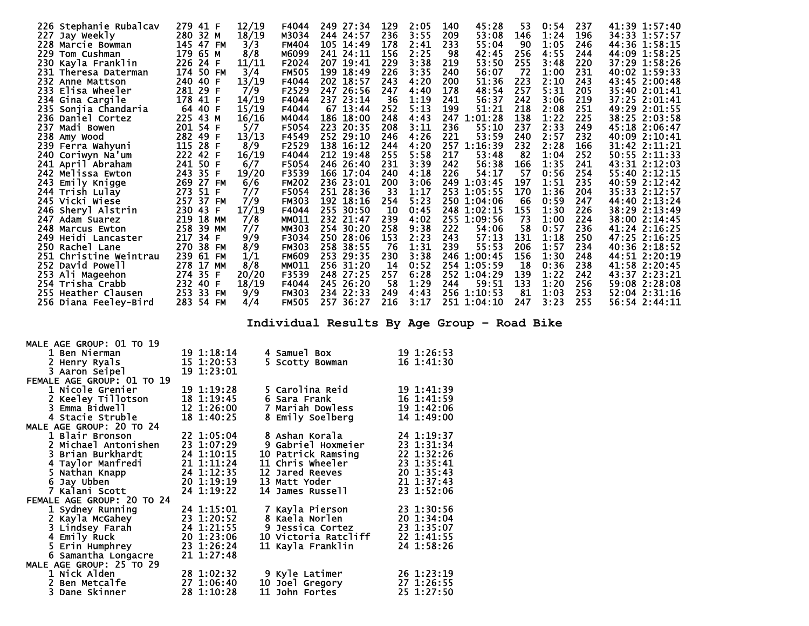| 226 Stephanie Rubalcav | 279 41 F               | 12/19 | F4044        | 249 27:34     | 129 | 2:05 | 45:28<br>140   | 53  | 0:54 | 237 | 41:39 1:57:40 |
|------------------------|------------------------|-------|--------------|---------------|-----|------|----------------|-----|------|-----|---------------|
| 227 Jay Weekly         | 280<br>32 M            | 18/19 | M3034        | 244 24:57     | 236 | 3:55 | 209<br>53:08   | 146 | 1:24 | 196 | 34:33 1:57:57 |
| 228 Marcie Bowman      | 145 47 FM              | 3/3   | <b>FM404</b> | 105 14:49     | 178 | 2:41 | 233<br>55:04   | 90  | 1:05 | 246 | 44:36 1:58:15 |
| 229.<br>Tom Cushman    | 179 65 M               | 8/8   | M6099        | 241 24:11     | 156 | 2:25 | 98<br>42:45    | 256 | 4:55 | 244 | 44:09 1:58:25 |
| 230 Kayla Franklin     | 226<br>24 F            | 11/11 | F2024        | 207 19:41     | 229 | 3:38 | 219<br>53:50   | 255 | 3:48 | 220 | 37:29 1:58:26 |
| 231 Theresa Daterman   | 174 50 FM              | 3/4   | <b>FM505</b> | 199 18:49     | 226 | 3:35 | 240<br>56:07   | -72 | 1:00 | 231 | 40:02 1:59:33 |
| 232 Anne Mattson       | 240 40 F               | 13/19 | F4044        | 202<br>18:57  | 243 | 4:20 | 200<br>51:36   | 223 | 2:10 | 243 | 43:45 2:00:48 |
| 233 Elisa Wheeler      | 281 29 F               | 7/9   | F2529        | 247.<br>26:56 | 247 | 4:40 | 178<br>48:54   | 257 | 5:31 | 205 | 35:40 2:01:41 |
| 234 Gina Cargile       | 178 41 F               | 14/19 | F4044        | 237 23:14     | 36  | 1:19 | 241<br>56:37   | 242 | 3:06 | 219 | 37:25 2:01:41 |
| 235 Sonjia Chandaria   | 64 40 F                | 15/19 | F4044        | 67 13:44      | 252 | 5:13 | 199<br>51:21   | 218 | 2:08 | 251 | 49:29 2:01:55 |
| 236 Daniel Cortez      | 225 43 M               | 16/16 | M4044        | 186 18:00     | 248 | 4:43 | 247<br>1:01:28 | 138 | 1:22 | 225 | 38:25 2:03:58 |
| 237<br>Madi Bowen      | 201 54 F               | 5/7   | F5054        | 223<br>20:35  | 208 | 3:11 | 236<br>55:10   | 237 | 2:33 | 249 | 45:18 2:06:47 |
| 238 Amy Wood           | 282<br>49 F            | 13/13 | F4549        | 252 29:10     | 246 | 4:26 | 221<br>53:59   | 240 | 2:57 | 232 | 40:09 2:10:41 |
| 239 Ferra Wahyuni      | 115<br>28 F            | 8/9   | F2529        | 138<br>16:12  | 244 | 4:20 | 257<br>1:16:39 | 232 | 2:28 | 166 | 31:42 2:11:21 |
| 240 Coriwyn Na'um      | 222 42 F               | 16/19 | F4044        | 212 19:48     | 255 | 5:58 | 217<br>53:48   | 82  | 1:04 | 252 | 50:55 2:11:33 |
| 241 April Abraham      | 241 50 F               | 6/7   | F5054        | 246 26:40     | 231 | 3:39 | 242<br>56:38   | 166 | 1:35 | 241 | 43:31 2:12:03 |
| 242 Melissa Ewton      | 243<br>35 F            | 19/20 | F3539        | 166 17:04     | 240 | 4:18 | 226<br>54:17   | 57  | 0:56 | 254 | 55:40 2:12:15 |
| 243 Emily Knigge       | 269<br>27 FM           | 6/6   | <b>FM202</b> | 236 23:01     | 200 | 3:06 | 249 1:03:45    | 197 | 1:51 | 235 | 40:59 2:12:42 |
| 244 Trish Lulay        | 273<br>51 F            | 7/7   | F5054        | 251 28:36     | 33  | 1:17 | 253 1:05:55    | 170 | 1:36 | 204 | 35:33 2:12:57 |
| 245 Vicki Wiese        | 257 37 FM              | 7/9   | <b>FM303</b> | 192 18:16     | 254 | 5:23 | 250 1:04:06    | 66  | 0:59 | 247 | 44:40 2:13:24 |
| 246 Sheryl Alstrin     | 230 43 F               | 17/19 | F4044        | 255 30:50     | 10  | 0:45 | 248 1:02:15    | 155 | 1:30 | 226 | 38:29 2:13:49 |
| 247 Adam Suarez        | 219<br><b>18 MM</b>    | 7/8   | <b>MM011</b> | 232 21:47     | 239 | 4:02 | 255 1:09:56    | 73  | 1:00 | 224 | 38:00 2:14:45 |
| 248 Marcus Ewton       | 258<br>39 MM           | 7/7   | <b>MM303</b> | 254 30:20     | 258 | 9:38 | 222<br>54:06   | 58  | 0:57 | 236 | 41:24 2:16:25 |
| 249 Heidi Lancaster    | 34 F<br>217            | 9/9   | F3034        | 250 28:06     | 153 | 2:23 | 243<br>57:13   | 131 | 1:18 | 250 | 47:25 2:16:25 |
| 250 Rachel Lane        | 270<br>38 FM           | 8/9   | <b>FM303</b> | 258<br>38:55  | 76  | 1:31 | 239<br>55:53   | 206 | 1:57 | 234 | 40:36 2:18:52 |
| 251 Christine Weintrau | 239<br>61 FM           | 1/1   | <b>FM609</b> | 253<br>29:35  | 230 | 3:38 | 246 1:00:45    | 156 | 1:30 | 248 | 44:51 2:20:19 |
| 252 David Powell       | 278<br>17<br><b>MM</b> | 8/8   | <b>MM011</b> | 256<br>31:20  | 14  | 0:52 | 254 1:05:59    | 18  | 0:36 | 238 | 41:58 2:20:45 |
| 253 Ali Mageehon       | 274<br>35 F            | 20/20 | F3539        | 248 27:25     | 257 | 6:28 | 252 1:04:29    | 139 | 1:22 | 242 | 43:37 2:23:21 |
| 254 Trisha Crabb       | 232 40 F               | 18/19 | F4044        | 245 26:20     | 58  | 1:29 | 244<br>59:51   | 133 | 1:20 | 256 | 59:08 2:28:08 |
| 255 Heather Clausen    | 253<br>33 FM           | 9/9   | <b>FM303</b> | 234 22:33     | 249 | 4:43 | 256 1:10:53    | 81  | 1:03 | 253 | 52:04 2:31:16 |
| 256 Diana Feeley-Bird  | 283 54 FM              | 4/4   | <b>FM505</b> | 257 36:27     | 216 | 3:17 | 251 1:04:10    | 247 | 3:23 | 255 | 56:54 2:44:11 |

**Individual Results By Age Group – Road Bike** 

| MALE AGE GROUP: 01 TO 19   |            |                      |            |
|----------------------------|------------|----------------------|------------|
| 1 Ben Nierman              | 19 1:18:14 | 4 Samuel Box         | 19 1:26:53 |
| 2 Henry Ryals              | 15 1:20:53 | 5 Scotty Bowman      | 16 1:41:30 |
| 3 Aaron Seipel             | 19 1:23:01 |                      |            |
| FEMALE AGE GROUP: 01 TO 19 |            |                      |            |
| 1 Nicole Grenier           | 19 1:19:28 | 5 Carolina Reid      | 19 1:41:39 |
| 2 Keeley Tillotson         | 18 1:19:45 | 6 Sara Frank         | 16 1:41:59 |
| 3 Emma Bidwell             | 12 1:26:00 | Mariah Dowless<br>7  | 19 1:42:06 |
| 4 Stacie Struble           | 18 1:40:25 | 8 Emily Soelberg     | 14 1:49:00 |
| MALE AGE GROUP: 20 TO 24   |            |                      |            |
| 1 Blair Bronson            | 22 1:05:04 | 8 Ashan Korala       | 24 1:19:37 |
| 2 Michael Antonishen       | 23 1:07:29 | 9 Gabriel Hoxmeier   | 23 1:31:34 |
| 3 Brian Burkhardt          | 24 1:10:15 | 10 Patrick Ramsing   | 22 1:32:26 |
| 4 Taylor Manfredi          | 21 1:11:24 | 11 Chris Wheeler     | 23 1:35:41 |
| 5 Nathan Knapp             | 24 1:12:35 | 12 Jared Reeves      | 20 1:35:43 |
| 6 Jay Ubben                | 20 1:19:19 | 13 Matt Yoder        | 21 1:37:43 |
| 7 Kalani Scott             | 24 1:19:22 | 14 James Russell     | 23 1:52:06 |
| FEMALE AGE GROUP: 20 TO 24 |            |                      |            |
| 1 Sydney Running           | 24 1:15:01 | 7 Kayla Pierson      | 23 1:30:56 |
| 2 Kayla McGahey            | 23 1:20:52 | 8 Kaela Norlen       | 20 1:34:04 |
| 3 Lindsey Farah            | 24 1:21:55 | 9<br>Jessica Cortez  | 23 1:35:07 |
| 4 Emily Ruck               | 20 1:23:06 | 10 Victoria Ratcliff | 22 1:41:55 |
| 5 Erin Humphrey            | 23 1:26:24 | 11 Kayla Franklin    | 24 1:58:26 |
| 6 Samantha Longacre        | 21 1:27:48 |                      |            |
| MALE AGE GROUP: 25 TO 29   |            |                      |            |
| 1 Nick Alden               | 28 1:02:32 | 9 Kyle Latimer       | 26 1:23:19 |
| 2 Ben Metcalfe             | 27 1:06:40 | 10 Joel Gregory      | 27 1:26:55 |
| 3 Dane Skinner             | 28 1:10:28 | John Fortes<br>11    | 25 1:27:50 |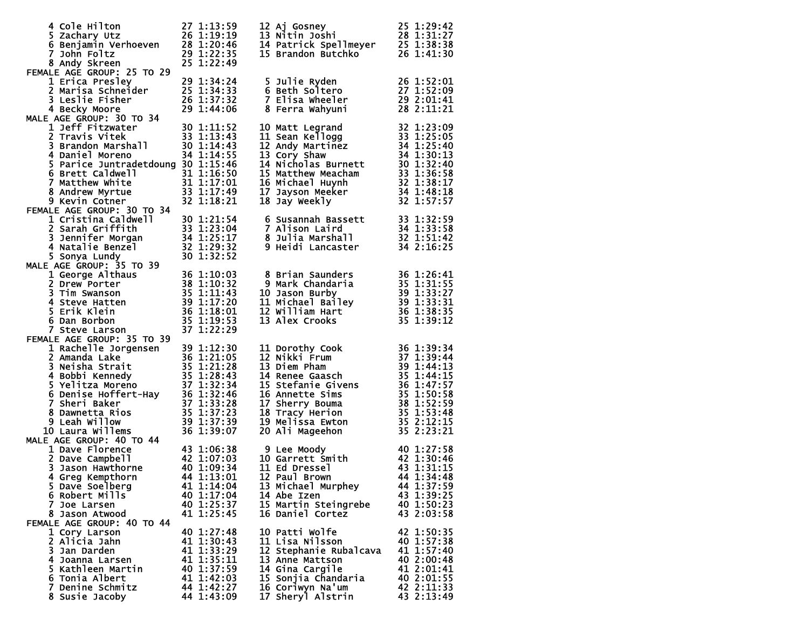| 4 Cole Hilton 27 1:13:59<br>5 Zachary Utz 26 1:19:19<br>6 Benjamin Verhoeven 28 1:20:46<br>7 John Foltz 29 1:22:35<br>8 Andy Skreen<br>FEMALE AGE GROUP: 25 TO 29                                                                                        | 25 1:22:49               |  |  |                                                                                                                                                                                                                                                          |                          |  |  |
|----------------------------------------------------------------------------------------------------------------------------------------------------------------------------------------------------------------------------------------------------------|--------------------------|--|--|----------------------------------------------------------------------------------------------------------------------------------------------------------------------------------------------------------------------------------------------------------|--------------------------|--|--|
|                                                                                                                                                                                                                                                          |                          |  |  |                                                                                                                                                                                                                                                          |                          |  |  |
|                                                                                                                                                                                                                                                          |                          |  |  | 5 Julie Ryden<br>6 Beth Soltero                                                                                                                                                                                                                          |                          |  |  |
|                                                                                                                                                                                                                                                          |                          |  |  |                                                                                                                                                                                                                                                          |                          |  |  |
| 1 crica Presley 29 1:34:24<br>2 Marisa Schneider 25 1:34:33<br>3 Leslie Fisher 26 1:37:32<br>4 Becky Moore 29 1:44:06<br>MALE AGE GROUP: 30 TO 34<br>1 Jeff Fitzwater                                                                                    |                          |  |  | 6 Beth Soltero<br>7 Elisa Wheeler 27 1:52:09<br>7 Elisa Wheeler 29 2:01:41<br>8 Ferra Wahyuni 28 2:11:01                                                                                                                                                 |                          |  |  |
|                                                                                                                                                                                                                                                          |                          |  |  |                                                                                                                                                                                                                                                          |                          |  |  |
|                                                                                                                                                                                                                                                          |                          |  |  |                                                                                                                                                                                                                                                          |                          |  |  |
|                                                                                                                                                                                                                                                          |                          |  |  |                                                                                                                                                                                                                                                          |                          |  |  |
|                                                                                                                                                                                                                                                          |                          |  |  |                                                                                                                                                                                                                                                          |                          |  |  |
| 1 Jeff Fitzwater 30 1:11:52<br>2 Travis Vitek 33 1:13:43<br>3 Brandon Marshall 30 1:14:43<br>4 Daniel Moreno 34 1:14:55                                                                                                                                  |                          |  |  | 10 Matt Legrand<br>11 Sean Kellogg<br>11 Sean Kellogg<br>12 Andy Martinez<br>13 Cory Shaw<br>13 Cory Shaw<br>14 Nicholas Burnett<br>15 Matthew Meacham<br>15 Matthew Meacham<br>16 Michael Huynh<br>17 Jayson Meeker<br>18 Jay Weekly<br>18 Jay Weekly   |                          |  |  |
| 5 Parice Juntradetdoung 30 1:15:46                                                                                                                                                                                                                       |                          |  |  |                                                                                                                                                                                                                                                          |                          |  |  |
| 6 Brett Caldwell<br>$\begin{array}{r} 31 \ 1:16:50 \\ 31 \ 1:17:01 \\ 33 \ 1:17:49 \\ 32 \ 1:18:21 \end{array}$                                                                                                                                          |                          |  |  |                                                                                                                                                                                                                                                          |                          |  |  |
| 7 Matthew White                                                                                                                                                                                                                                          |                          |  |  |                                                                                                                                                                                                                                                          |                          |  |  |
| 8 Andrew Myrtue                                                                                                                                                                                                                                          |                          |  |  |                                                                                                                                                                                                                                                          |                          |  |  |
| 9 Kevin Cotner                                                                                                                                                                                                                                           |                          |  |  |                                                                                                                                                                                                                                                          |                          |  |  |
| 2 Sarah Griffith<br>2 Sarah Griffith<br>3 1:23:04<br>3 Jennifer Morgan<br>4 Natalie Benzel<br>5 Sonya Lundy<br>2 1:32:52<br>4 George Althaus<br>2 Drew Press Company<br>2 Drew Press Company<br>2 Drew Press Company<br>2 Drew Press Company<br>2 Drew   |                          |  |  |                                                                                                                                                                                                                                                          |                          |  |  |
|                                                                                                                                                                                                                                                          |                          |  |  |                                                                                                                                                                                                                                                          |                          |  |  |
|                                                                                                                                                                                                                                                          |                          |  |  |                                                                                                                                                                                                                                                          |                          |  |  |
|                                                                                                                                                                                                                                                          |                          |  |  |                                                                                                                                                                                                                                                          |                          |  |  |
|                                                                                                                                                                                                                                                          |                          |  |  |                                                                                                                                                                                                                                                          |                          |  |  |
|                                                                                                                                                                                                                                                          |                          |  |  |                                                                                                                                                                                                                                                          |                          |  |  |
| 2 AGE GROUP: 35 10 39<br>2 Drew Porter<br>38 1:10:32<br>3 Tim Swanson<br>4 Steve Hatten<br>5 Erik Klein<br>6 Dan Borbon<br>85 1:12:20<br>5 Erik Klein<br>6 Dan Borbon<br>85 1:19:53<br>37 1:22:29<br>87 1:22:29<br>87 1:22:29                            |                          |  |  | 8 Brian Saunders<br>9 Mark Chandaria<br>10 Jason Burby<br>11 Michael Bailey<br>12 William Hart<br>13 Alex Crooks<br>13 Alex Crooks<br>13 1:39:12<br>13 Alex Crooks<br>13 1:39:12                                                                         |                          |  |  |
|                                                                                                                                                                                                                                                          |                          |  |  |                                                                                                                                                                                                                                                          |                          |  |  |
|                                                                                                                                                                                                                                                          |                          |  |  |                                                                                                                                                                                                                                                          |                          |  |  |
|                                                                                                                                                                                                                                                          |                          |  |  |                                                                                                                                                                                                                                                          |                          |  |  |
|                                                                                                                                                                                                                                                          |                          |  |  |                                                                                                                                                                                                                                                          |                          |  |  |
|                                                                                                                                                                                                                                                          |                          |  |  |                                                                                                                                                                                                                                                          |                          |  |  |
|                                                                                                                                                                                                                                                          |                          |  |  |                                                                                                                                                                                                                                                          |                          |  |  |
| FEMALE AGE GROUP: 35 TO 39                                                                                                                                                                                                                               |                          |  |  |                                                                                                                                                                                                                                                          |                          |  |  |
| ALE AGE GROUP: 35 TO 39<br>1 Rachelle Jorgensen<br>2 Amanda Lake<br>36 1:21:05<br>3 Neisha Strait<br>35 1:21:28<br>4 Bobbi Kennedy<br>5 Yelitza Moreno<br>37 1:32:34<br>6 Denise Hoffert-Hay<br>36 1:32:44<br>6 Denise Hoffert-Hay<br>36 1:32:46<br>7 Sh |                          |  |  | 11 Dorothy Cook<br>12 Nikki Frum<br>13 Diem Pham<br>14 Renee Gaasch<br>15 Stefanie Givens<br>16 Annette Sims<br>17 Sherry Bouma<br>18 Tracy Herion<br>18 Tracy Herion<br>18 Tracy Herion<br>19 Melissa Ewton<br>19 Melissa Ewton<br>20 Ali Mageehon<br>1 |                          |  |  |
|                                                                                                                                                                                                                                                          |                          |  |  |                                                                                                                                                                                                                                                          |                          |  |  |
|                                                                                                                                                                                                                                                          |                          |  |  |                                                                                                                                                                                                                                                          |                          |  |  |
|                                                                                                                                                                                                                                                          |                          |  |  |                                                                                                                                                                                                                                                          |                          |  |  |
|                                                                                                                                                                                                                                                          |                          |  |  |                                                                                                                                                                                                                                                          |                          |  |  |
|                                                                                                                                                                                                                                                          |                          |  |  |                                                                                                                                                                                                                                                          |                          |  |  |
|                                                                                                                                                                                                                                                          |                          |  |  |                                                                                                                                                                                                                                                          |                          |  |  |
|                                                                                                                                                                                                                                                          |                          |  |  |                                                                                                                                                                                                                                                          |                          |  |  |
| 10 Laura Willems                                                                                                                                                                                                                                         |                          |  |  |                                                                                                                                                                                                                                                          |                          |  |  |
|                                                                                                                                                                                                                                                          |                          |  |  |                                                                                                                                                                                                                                                          |                          |  |  |
| MALE AGE GROUP: 40 TO 44<br>1 Dave Florence<br>2 Dave Campbell<br>3 Jason Hawthorne<br>40 1:07:03<br>40 1:09:34<br>40 1:09:34<br>41 1:13:01<br>40 1:13:01<br>42 1:30:46<br>40 1:09:34<br>41 1:13:01<br>42 1:30:46<br>43 1:31:15<br>44 1:34:48            |                          |  |  |                                                                                                                                                                                                                                                          |                          |  |  |
|                                                                                                                                                                                                                                                          |                          |  |  |                                                                                                                                                                                                                                                          |                          |  |  |
|                                                                                                                                                                                                                                                          |                          |  |  |                                                                                                                                                                                                                                                          |                          |  |  |
| 4 Greg Kempthorn 44 1:13:01                                                                                                                                                                                                                              |                          |  |  | 12 Paul Brown 44 1:34:48                                                                                                                                                                                                                                 |                          |  |  |
| 5 Dave Soelberg                                                                                                                                                                                                                                          | 41 1:14:04               |  |  | 13 Michael Murphey                                                                                                                                                                                                                                       | 44 1:37:59               |  |  |
| 6 Robert Mills                                                                                                                                                                                                                                           | 40 1:17:04               |  |  | 14 Abe Izen                                                                                                                                                                                                                                              | 43 1:39:25               |  |  |
| 7 Joe Larsen                                                                                                                                                                                                                                             | 40 1:25:37               |  |  | 15 Martin Steingrebe                                                                                                                                                                                                                                     | 40 1:50:23               |  |  |
| 8 Jason Atwood                                                                                                                                                                                                                                           | 41 1:25:45               |  |  | 16 Daniel Cortez                                                                                                                                                                                                                                         | 43 2:03:58               |  |  |
| FEMALE AGE GROUP: 40 TO 44                                                                                                                                                                                                                               |                          |  |  |                                                                                                                                                                                                                                                          |                          |  |  |
| 1 Cory Larson                                                                                                                                                                                                                                            | 40 1:27:48               |  |  | 10 Patti Wolfe                                                                                                                                                                                                                                           | 42 1:50:35               |  |  |
| 2 Alicia Jahn                                                                                                                                                                                                                                            | 41 1:30:43               |  |  | 11 Lisa Nilsson                                                                                                                                                                                                                                          | 40 1:57:38               |  |  |
| 3 Jan Darden<br>4 Joanna Larsen                                                                                                                                                                                                                          | 41 1:33:29<br>41 1:35:11 |  |  | 12 Stephanie Rubalcava<br>13 Anne Mattson                                                                                                                                                                                                                | 41 1:57:40<br>40 2:00:48 |  |  |
| 5 Kathleen Martin                                                                                                                                                                                                                                        | 40 1:37:59               |  |  | 14 Gina Cargile                                                                                                                                                                                                                                          | 41 2:01:41               |  |  |
| 6 Tonia Albert                                                                                                                                                                                                                                           | 41 1:42:03               |  |  | 15 Sonjia Chandaria                                                                                                                                                                                                                                      | 40 2:01:55               |  |  |
| 7 Denine Schmitz                                                                                                                                                                                                                                         | 44 1:42:27               |  |  | 16 Coriwyn Na'um                                                                                                                                                                                                                                         | 42 2:11:33               |  |  |
| 8 Susie Jacoby                                                                                                                                                                                                                                           | 44 1:43:09               |  |  | 17 Sheryl Alstrin                                                                                                                                                                                                                                        | 43 2:13:49               |  |  |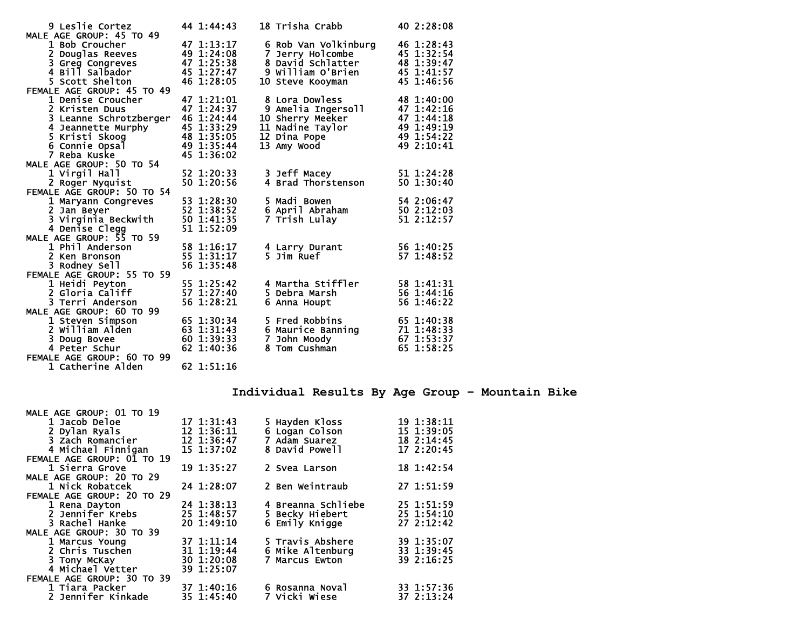| <b>9 Leslie Cortez</b><br>MALE AGE GROUP: 45 TO 49 | 44 1:44:43 |   | 18 Trisha Crabb      | 40 2:28:08 |
|----------------------------------------------------|------------|---|----------------------|------------|
| 1 Bob Croucher                                     | 47 1:13:17 |   |                      | 46 1:28:43 |
|                                                    | 49 1:24:08 | 7 | 6 Rob Van Volkinburg | 45 1:32:54 |
| 2 Douglas Reeves                                   |            |   | Jerry Holcombe       |            |
| 3 Greg Congreves                                   | 47 1:25:38 |   | 8 David Schlatter    | 48 1:39:47 |
| 4 Bill Salbador                                    | 45 1:27:47 |   | 9 William O'Brien    | 45 1:41:57 |
| 5 Scott Shelton                                    | 46 1:28:05 |   | 10 Steve Kooyman     | 45 1:46:56 |
| FEMALE AGE GROUP: 45 TO 49                         |            |   |                      |            |
| 1 Denise Croucher                                  | 47 1:21:01 |   | 8 Lora Dowless       | 48 1:40:00 |
| 2 Kristen Duus                                     | 47 1:24:37 |   | 9 Amelia Ingersoll   | 47 1:42:16 |
| 3 Leanne Schrotzberger                             | 46 1:24:44 |   | 10 Sherry Meeker     | 47 1:44:18 |
| 4 Jeannette Murphy                                 | 45 1:33:29 |   | 11 Nadine Taylor     | 49 1:49:19 |
| 5 Kristi Skoog                                     | 48 1:35:05 |   | 12 Dina Pope         | 49 1:54:22 |
| 6 Connie Opsal                                     | 49 1:35:44 |   | 13 Amy Wood          | 49 2:10:41 |
| 7 Reba Kuske                                       | 45 1:36:02 |   |                      |            |
| MALE AGE GROUP: 50 TO 54                           |            |   |                      |            |
| 1 Virgil Hall                                      | 52 1:20:33 |   | 3 Jeff Macey         | 51 1:24:28 |
| 2 Roger Nyquist                                    | 50 1:20:56 |   | 4 Brad Thorstenson   | 50 1:30:40 |
| FEMALE AGE GROUP: 50 TO 54                         |            |   |                      |            |
| 1 Maryann Congreves                                | 53 1:28:30 |   | 5 Madi Bowen         | 54 2:06:47 |
| 2 Jan Beyer                                        | 52 1:38:52 |   | 6 April Abraham      | 50 2:12:03 |
| 3 Virginia Beckwith                                | 50 1:41:35 |   | 7 Trish Lulay        | 51 2:12:57 |
|                                                    | 51 1:52:09 |   |                      |            |
| 4 Denise Clegg<br>MALE AGE GROUP: 55 TO 59         |            |   |                      |            |
| 1 Phil Anderson                                    | 58 1:16:17 |   | 4 Larry Durant       | 56 1:40:25 |
| 2 Ken Bronson                                      | 55 1:31:17 |   | 5 Jim Ruef           | 57 1:48:52 |
| 3 Rodney Sell                                      | 56 1:35:48 |   |                      |            |
| FEMALE AGE GROUP: 55 TO 59                         |            |   |                      |            |
| 1 Heidi Peyton                                     | 55 1:25:42 |   | 4 Martha Stiffler    | 58 1:41:31 |
| 2 Gloria Califf                                    | 57 1:27:40 |   | 5 Debra Marsh        | 56 1:44:16 |
| 3 Terri Anderson                                   | 56 1:28:21 |   | 6 Anna Houpt         | 56 1:46:22 |
| MALE AGE GROUP: 60 TO 99                           |            |   |                      |            |
| 1 Steven Simpson                                   | 65 1:30:34 |   | 5 Fred Robbins       | 65 1:40:38 |
| 2 William Alden                                    | 63 1:31:43 |   | 6 Maurice Banning    | 71 1:48:33 |
| 3 Doug Bovee                                       | 60 1:39:33 |   | 7 John Moody         | 67 1:53:37 |
| 4 Peter Schur                                      | 62 1:40:36 |   | 8 Tom Cushman        | 65 1:58:25 |
| FEMALE AGE GROUP: 60 TO 99                         |            |   |                      |            |
| 1 Catherine Alden                                  | 62 1:51:16 |   |                      |            |

**Individual Results By Age Group – Mountain Bike** 

| MALE AGE GROUP: 01 TO 19<br>1 Jacob Deloe<br>2 Dylan Ryals<br>3 Zach Romancier<br>4 Michael Finnigan | 17 1:31:43<br>12 1:36:11<br>12 1:36:47<br>$15 \t1:37:02$ | 5 Hayden Kloss<br>6 Logan Colson<br>7 Adam Suarez<br>8 David Powell | 19 1:38:11<br>15 1:39:05<br>18 2:14:45<br>172:20:45 |
|------------------------------------------------------------------------------------------------------|----------------------------------------------------------|---------------------------------------------------------------------|-----------------------------------------------------|
| FEMALE AGE GROUP: 01 TO 19                                                                           |                                                          |                                                                     |                                                     |
| 1 Sierra Grove                                                                                       | $19 \t1:35:27$                                           | 2 Svea Larson                                                       | 181:42:54                                           |
| MALE AGE GROUP: 20 TO 29                                                                             |                                                          |                                                                     |                                                     |
| 1 Nick Robatcek                                                                                      | 24 1:28:07                                               | 2 Ben Weintraub                                                     | 271:51:59                                           |
| FEMALE AGE GROUP: 20 TO 29                                                                           |                                                          |                                                                     |                                                     |
| 1 Rena Dayton                                                                                        | $24 \; 1:38:13$                                          | 4 Breanna Schliebe                                                  | 25 1:51:59                                          |
| 2 Jennifer Krebs                                                                                     | 25 1:48:57                                               | 5 Becky Hiebert                                                     | 25 1:54:10                                          |
| 3 Rachel Hanke                                                                                       | $20 \t1:49:10$                                           | 6 Emily Knigge                                                      | 272:12:42                                           |
| MALE AGE GROUP: 30 TO 39                                                                             |                                                          |                                                                     |                                                     |
| 1 Marcus Young                                                                                       | 37 1:11:14                                               | 5 Travis Abshere                                                    | 39 1:35:07                                          |
| 2 Chris Tuschen                                                                                      | 31 1:19:44                                               | 6 Mike Altenburg                                                    | 33 1:39:45                                          |
| 3 Tony McKay                                                                                         | $30 \t1:20:08$                                           | 7 Marcus Ewton                                                      | 39 2:16:25                                          |
| 4 Michael Vetter                                                                                     | 39 1:25:07                                               |                                                                     |                                                     |
| FEMALE AGE GROUP: 30 TO 39                                                                           |                                                          |                                                                     |                                                     |
| 1 Tiara Packer                                                                                       | 37 1:40:16                                               | 6 Rosanna Noval                                                     | 33 1:57:36                                          |
| 2 Jennifer Kinkade                                                                                   | 35 1:45:40                                               | 7 Vicki Wiese                                                       | 37 2:13:24                                          |
|                                                                                                      |                                                          |                                                                     |                                                     |